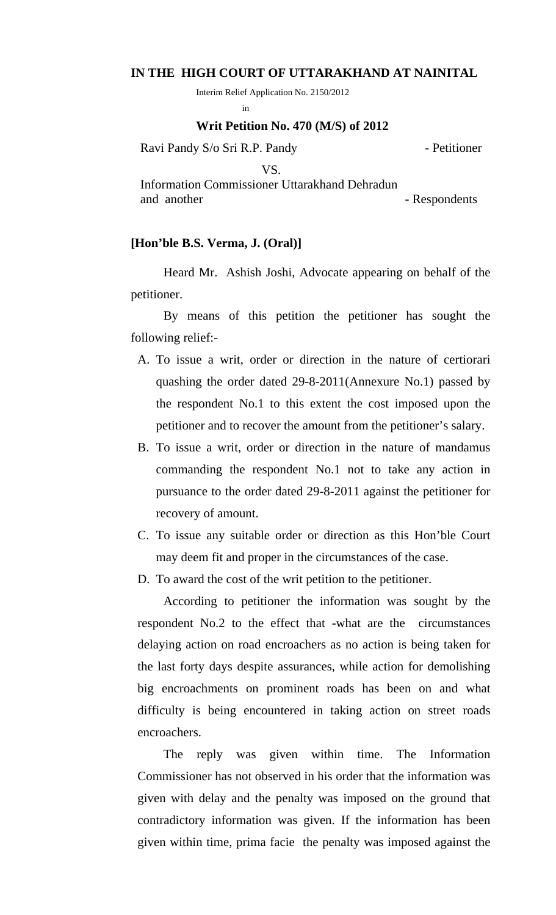## **IN THE HIGH COURT OF UTTARAKHAND AT NAINITAL**

Interim Relief Application No. 2150/2012

in the contract of the contract of the contract of the contract of the contract of the contract of the contract of the contract of the contract of the contract of the contract of the contract of the contract of the contrac

## **Writ Petition No. 470 (M/S) of 2012**

Ravi Pandy S/o Sri R.P. Pandy - Petitioner

 VS. Information Commissioner Uttarakhand Dehradun and another - Respondents

## **[Hon'ble B.S. Verma, J. (Oral)]**

Heard Mr. Ashish Joshi, Advocate appearing on behalf of the petitioner.

 By means of this petition the petitioner has sought the following relief:-

- A. To issue a writ, order or direction in the nature of certiorari quashing the order dated 29-8-2011(Annexure No.1) passed by the respondent No.1 to this extent the cost imposed upon the petitioner and to recover the amount from the petitioner's salary.
- B. To issue a writ, order or direction in the nature of mandamus commanding the respondent No.1 not to take any action in pursuance to the order dated 29-8-2011 against the petitioner for recovery of amount.
- C. To issue any suitable order or direction as this Hon'ble Court may deem fit and proper in the circumstances of the case.
- D. To award the cost of the writ petition to the petitioner.

 According to petitioner the information was sought by the respondent No.2 to the effect that -what are the circumstances delaying action on road encroachers as no action is being taken for the last forty days despite assurances, while action for demolishing big encroachments on prominent roads has been on and what difficulty is being encountered in taking action on street roads encroachers.

 The reply was given within time. The Information Commissioner has not observed in his order that the information was given with delay and the penalty was imposed on the ground that contradictory information was given. If the information has been given within time, prima facie the penalty was imposed against the